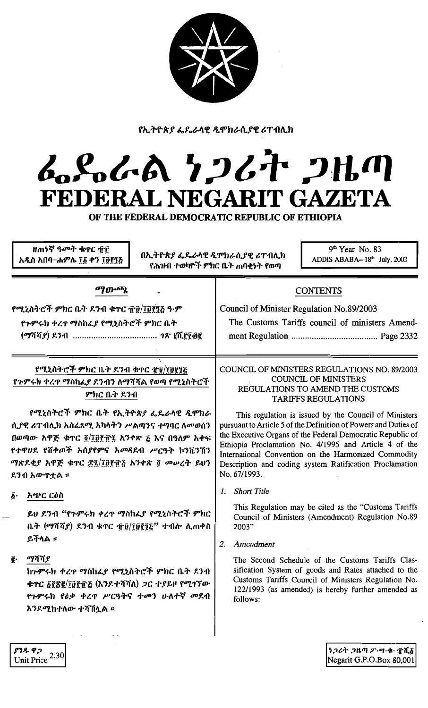

የኢትዮጵያ ፌዴራላዊ ዲሞክራሲያዊ ሪፐብሊክ

## ムパんの りつびれ つルの FEDERAL NEGARIT GAZETA

OF THE FEDERAL DEMOCRATIC REPUBLIC OF ETHIOPIA

|                                                                                                                                                                                                                                                                                                                   | ዘጠነኛ ዓ <i>መት</i> ቁጥር ፹፫<br>አዲስ አበባ–ሐምሌ ፲፩ ቀን ፲፱፻፺፭ | በኢ <i>ትዮጵያ ፌ</i> ዴራላዊ ዲሞክራሲያዊ ሪፐብሊክ                                                                                                                                                                                                                                                                                                                                                                                                                                                                                                                                                                                                                    | የሕዝብ ተወካዮች ምክር ቤት ጠባቂነት የወጣ                                     | $9th$ Year No. 83<br>ADDIS ABABA-18 <sup>th</sup> July, 2003                                                                                                                                                                                                                                                                        |
|-------------------------------------------------------------------------------------------------------------------------------------------------------------------------------------------------------------------------------------------------------------------------------------------------------------------|----------------------------------------------------|--------------------------------------------------------------------------------------------------------------------------------------------------------------------------------------------------------------------------------------------------------------------------------------------------------------------------------------------------------------------------------------------------------------------------------------------------------------------------------------------------------------------------------------------------------------------------------------------------------------------------------------------------------|-----------------------------------------------------------------|-------------------------------------------------------------------------------------------------------------------------------------------------------------------------------------------------------------------------------------------------------------------------------------------------------------------------------------|
| ማውጫ                                                                                                                                                                                                                                                                                                               |                                                    | CONTENTS<br>Council of Minister Regulation No.89/2003<br>The Customs Tariffs council of ministers Amend-<br><b>COUNCIL OF MINISTERS REGULATIONS NO. 89/2003</b><br><b>COUNCIL OF MINISTERS</b><br>REGULATIONS TO AMEND THE CUSTOMS<br><b>TARIFFS REGULATIONS</b><br>This regulation is issued by the Council of Ministers<br>pursuant to Article 5 of the Definition of Powers and Duties of<br>the Executive Organs of the Federal Democratic Republic of<br>Ethiopia Proclamation No. 4/1995 and Article 4 of the<br>International Convention on the Harmonized Commodity<br>Description and coding system Ratification Proclamation<br>No. 67/1993. |                                                                 |                                                                                                                                                                                                                                                                                                                                     |
| የሚኒስትሮች ምክር ቤት ደንብ ቁጥር ፹፱/፲፱፻፺፭ ዓ·ም<br>የጉምሩክ ቀረጥ ማስከፌያ የሚኒስትሮች ምክር ቤት                                                                                                                                                                                                                                             |                                                    |                                                                                                                                                                                                                                                                                                                                                                                                                                                                                                                                                                                                                                                        |                                                                 |                                                                                                                                                                                                                                                                                                                                     |
| የሚኒስትሮች ምክር ቤት ዶንብ ቁጥር ፹፱/፲፱፻፺፩<br>የጉምሩክ ቀረጥ ማስከፌያ ደንብን ለማሻሻል የወጣ የሚኒስትሮች<br>ምክር ቤት ደንብ<br>የሚኒስትሮች ምክር ቤት የኢትዮጵያ ፌዴራላዊ ዲሞክራ<br>ሲያዊ ሪፐብሊክ አስፈጻሚ አካላትን ሥልጣንና ተግባር ለመወሰን<br>በወጣው አዋጅ ቁጥር ፬/፲፱፻፹፯ አንቀጽ ፩ እና በዓለም አቀፍ<br>የተዋሀደ የሽቀጦች አስያየምና አመዳደብ ሥርዓት ኮንቬንሽን<br>ማጽደቂያ አዋጅ ቁጥር ፳፯/፲፱፻፹፩ አንቀጽ ፬ መሠረት ይህን<br>ደንብ አውዋቷል ። |                                                    |                                                                                                                                                                                                                                                                                                                                                                                                                                                                                                                                                                                                                                                        |                                                                 |                                                                                                                                                                                                                                                                                                                                     |
| አጭር ርዕስ<br>ĝ٠<br>ይችላል ።<br>ማሻሻያ<br>g.                                                                                                                                                                                                                                                                             | እንደሚከተለው ተሻሽሏል ።                                   | ይህ ደንብ "የጉምሩክ ቀረጥ ማስከፌያ የሚኒስትሮች ምክር<br>ቤት (ማሻሻያ) ደንብ ቁጥር ፹፱/፲፱፻፺፩" ተብሎ ሊጠቀስ<br>ከጉምሩክ ቀረዋ ማስከፌያ የሚኒስትሮች ምክር ቤት ደንብ<br>ቁጥር ፩፻፳፪/፲፱፻፹፩ (እንደተሻሻለ) <i>ጋ</i> ር ተያይዞ የሚገኘው<br>የጉምሩክ የዕቃ ቀረዋ ሥርዓትና ተመን ሁለተኛ መደብ                                                                                                                                                                                                                                                                                                                                                                                                                                                | <b>Short Title</b><br>L<br>2003"<br>Amendment<br>2.<br>follows: | This Regulation may be cited as the "Customs Tariffs"<br>Council of Ministers (Amendment) Regulation No.89<br>The Second Schedule of the Customs Tariffs Clas-<br>sification System of goods and Rates attached to the<br>Customs Tariffs Council of Ministers Regulation No.<br>122/1993 (as amended) is hereby further amended as |
| ያንዱ ዋጋ<br>Unit Price                                                                                                                                                                                                                                                                                              | 2.30                                               |                                                                                                                                                                                                                                                                                                                                                                                                                                                                                                                                                                                                                                                        |                                                                 | ነጋሪት ጋዜጣ ፖ…ሣ・ቁ・ ፹ሺ፩<br>Negarit G.P.O.Box 80,001                                                                                                                                                                                                                                                                                     |